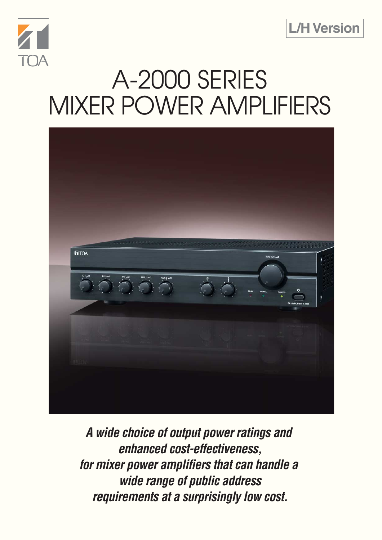



# A-2000 SERIES MIXER POWER AMPLIFIERS



**A wide choice of output power ratings and enhanced cost-effectiveness, for mixer power amplifiers that can handle a wide range of public address requirements at a surprisingly low cost.**